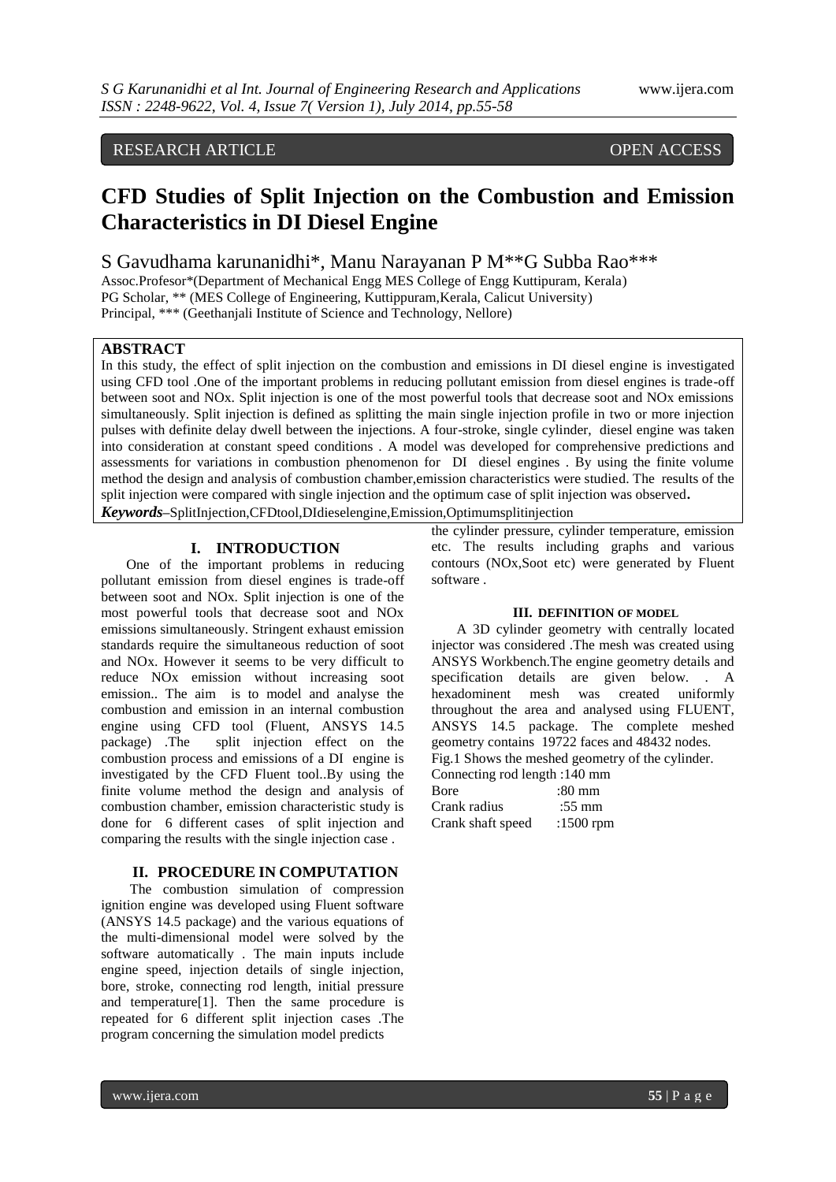# RESEARCH ARTICLE OPEN ACCESS

# **CFD Studies of Split Injection on the Combustion and Emission Characteristics in DI Diesel Engine**

S Gavudhama karunanidhi\*, Manu Narayanan P M\*\*G Subba Rao\*\*\*

Assoc.Profesor\*(Department of Mechanical Engg MES College of Engg Kuttipuram, Kerala) PG Scholar, \*\* (MES College of Engineering, Kuttippuram,Kerala, Calicut University) Principal, \*\*\* (Geethanjali Institute of Science and Technology, Nellore)

## **ABSTRACT**

In this study, the effect of split injection on the combustion and emissions in DI diesel engine is investigated using CFD tool .One of the important problems in reducing pollutant emission from diesel engines is trade-off between soot and NOx. Split injection is one of the most powerful tools that decrease soot and NOx emissions simultaneously. Split injection is defined as splitting the main single injection profile in two or more injection pulses with definite delay dwell between the injections. A four-stroke, single cylinder, diesel engine was taken into consideration at constant speed conditions . A model was developed for comprehensive predictions and assessments for variations in combustion phenomenon for DI diesel engines . By using the finite volume method the design and analysis of combustion chamber,emission characteristics were studied. The results of the split injection were compared with single injection and the optimum case of split injection was observed**.** *Keywords***–**SplitInjection,CFDtool,DIdieselengine,Emission,Optimumsplitinjection

#### **I. INTRODUCTION**

One of the important problems in reducing pollutant emission from diesel engines is trade-off between soot and NOx. Split injection is one of the most powerful tools that decrease soot and NOx emissions simultaneously. Stringent exhaust emission standards require the simultaneous reduction of soot and NOx. However it seems to be very difficult to reduce NOx emission without increasing soot emission.. The aim is to model and analyse the combustion and emission in an internal combustion engine using CFD tool (Fluent, ANSYS 14.5 package) .The split injection effect on the combustion process and emissions of a DI engine is investigated by the CFD Fluent tool..By using the finite volume method the design and analysis of combustion chamber, emission characteristic study is done for 6 different cases of split injection and comparing the results with the single injection case .

### **II. PROCEDURE IN COMPUTATION**

The combustion simulation of compression ignition engine was developed using Fluent software (ANSYS 14.5 package) and the various equations of the multi-dimensional model were solved by the software automatically . The main inputs include engine speed, injection details of single injection, bore, stroke, connecting rod length, initial pressure and temperature[1]. Then the same procedure is repeated for 6 different split injection cases .The program concerning the simulation model predicts

the cylinder pressure, cylinder temperature, emission etc. The results including graphs and various contours (NOx,Soot etc) were generated by Fluent software .

#### **III. DEFINITION OF MODEL**

A 3D cylinder geometry with centrally located injector was considered .The mesh was created using ANSYS Workbench.The engine geometry details and specification details are given below. . A hexadominent mesh was created uniformly throughout the area and analysed using FLUENT, ANSYS 14.5 package. The complete meshed geometry contains 19722 faces and 48432 nodes. Fig.1 Shows the meshed geometry of the cylinder. Connecting rod length :140 mm Bore :80 mm

| Crank radius      | $:55 \text{ mm}$ |  |
|-------------------|------------------|--|
| Crank shaft speed | :1500 $rm$       |  |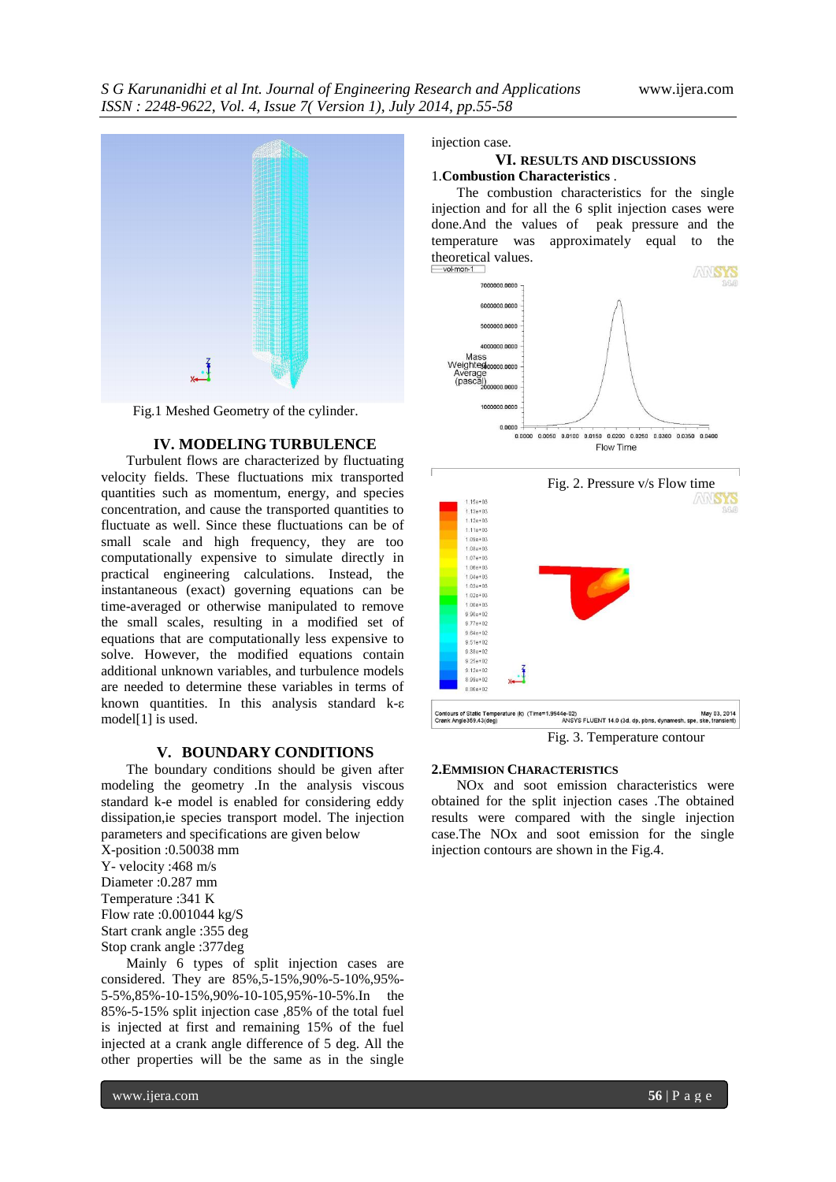

Fig.1 Meshed Geometry of the cylinder.

#### **IV. MODELING TURBULENCE**

Turbulent flows are characterized by fluctuating velocity fields. These fluctuations mix transported quantities such as momentum, energy, and species concentration, and cause the transported quantities to fluctuate as well. Since these fluctuations can be of small scale and high frequency, they are too computationally expensive to simulate directly in practical engineering calculations. Instead, the instantaneous (exact) governing equations can be time-averaged or otherwise manipulated to remove the small scales, resulting in a modified set of equations that are computationally less expensive to solve. However, the modified equations contain additional unknown variables, and turbulence models are needed to determine these variables in terms of known quantities. In this analysis standard k-ε model[1] is used.

#### **V. BOUNDARY CONDITIONS**

The boundary conditions should be given after modeling the geometry .In the analysis viscous standard k-e model is enabled for considering eddy dissipation,ie species transport model. The injection parameters and specifications are given below

- X-position :0.50038 mm
- Y- velocity :468 m/s
- Diameter :0.287 mm
- Temperature :341 K
- Flow rate :0.001044 kg/S
- Start crank angle :355 deg
- Stop crank angle :377deg

Mainly 6 types of split injection cases are considered. They are 85%,5-15%,90%-5-10%,95%- 5-5%,85%-10-15%,90%-10-105,95%-10-5%.In the 85%-5-15% split injection case ,85% of the total fuel is injected at first and remaining 15% of the fuel injected at a crank angle difference of 5 deg. All the other properties will be the same as in the single

#### injection case.

#### **VI. RESULTS AND DISCUSSIONS** 1.**Combustion Characteristics** .

The combustion characteristics for the single injection and for all the 6 split injection cases were done.And the values of peak pressure and the temperature was approximately equal to the theoretical values.





Fig. 3. Temperature contour

#### **2.EMMISION CHARACTERISTICS**

NOx and soot emission characteristics were obtained for the split injection cases .The obtained results were compared with the single injection case.The NOx and soot emission for the single injection contours are shown in the Fig.4.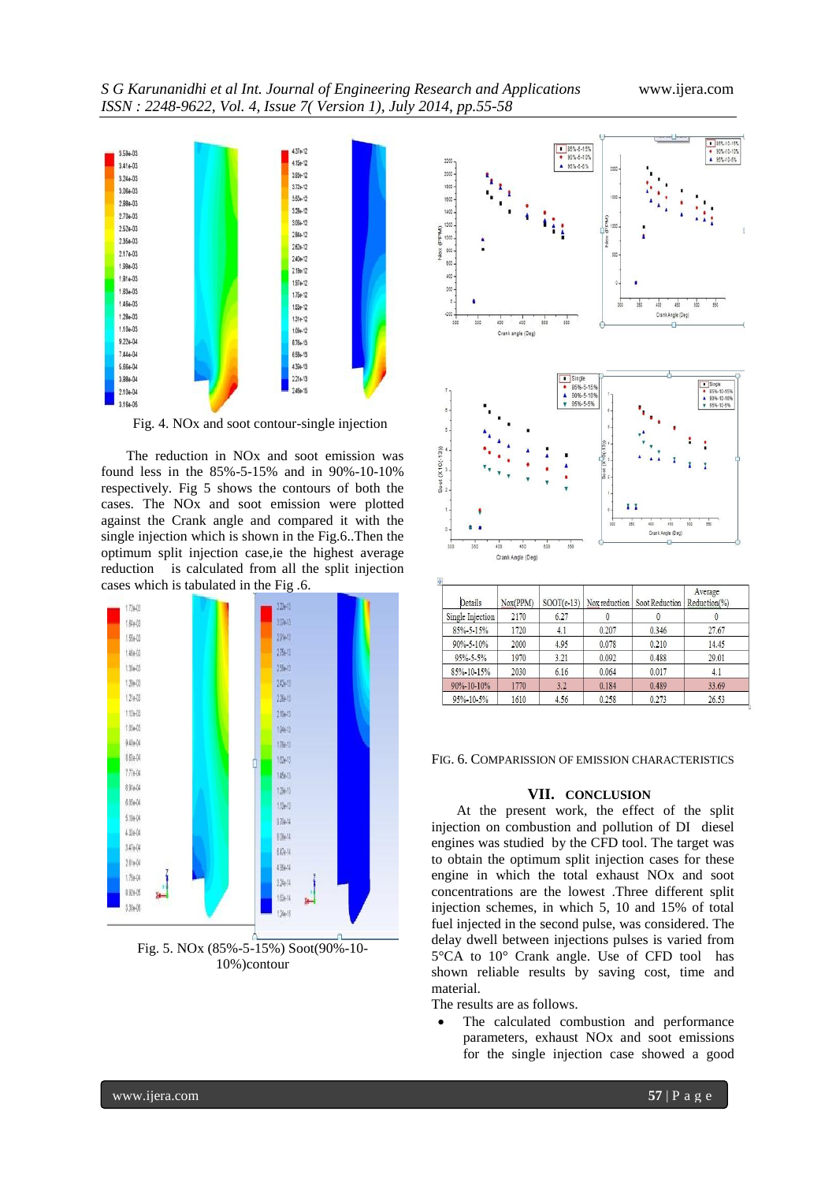

Fig. 4. NOx and soot contour-single injection

The reduction in NOx and soot emission was found less in the 85%-5-15% and in 90%-10-10% respectively. Fig 5 shows the contours of both the cases. The NOx and soot emission were plotted against the Crank angle and compared it with the single injection which is shown in the Fig.6..Then the optimum split injection case,ie the highest average reduction is calculated from all the split injection cases which is tabulated in the Fig .6.



Fig. 5. NOx (85%-5-15%) Soot(90%-10- 10%)contour



| Details            | Nox(PPM) | $SOOT(e-13)$ | Nox reduction | Soot Reduction | Average<br>Reduction(%) |
|--------------------|----------|--------------|---------------|----------------|-------------------------|
| Single Injection   | 2170     | 6.27         |               |                |                         |
| 85%-5-15%          | 1720     | 4.1          | 0.207         | 0.346          | 27.67                   |
| 90%-5-10%          | 2000     | 4.95         | 0.078         | 0.210          | 14.45                   |
| 95% 5-5%           | 1970     | 3.21         | 0.092         | 0.488          | 29.01                   |
| 85%-10-15%         | 2030     | 6.16         | 0.064         | 0.017          | 4.1                     |
| $90\% - 10 - 10\%$ | 1770     | 3.2          | 0.184         | 0.489          | 33.69                   |
| 95%-10-5%          | 1610     | 4.56         | 0.258         | 0.273          | 26.53                   |

FIG. 6. COMPARISSION OF EMISSION CHARACTERISTICS

### **VII. CONCLUSION**

At the present work, the effect of the split injection on combustion and pollution of DI diesel engines was studied by the CFD tool. The target was to obtain the optimum split injection cases for these engine in which the total exhaust NOx and soot concentrations are the lowest .Three different split injection schemes, in which 5, 10 and 15% of total fuel injected in the second pulse, was considered. The delay dwell between injections pulses is varied from 5°CA to 10° Crank angle. Use of CFD tool has shown reliable results by saving cost, time and material.

The results are as follows.

 The calculated combustion and performance parameters, exhaust NOx and soot emissions for the single injection case showed a good